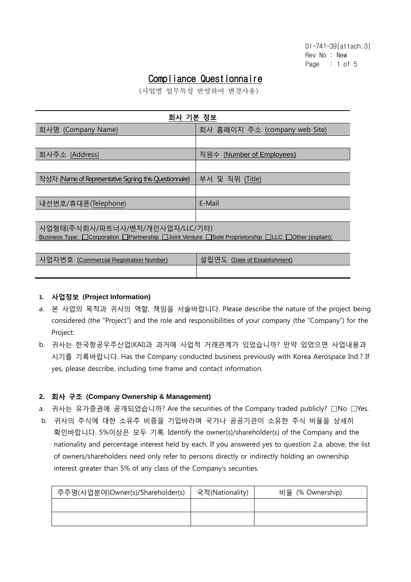# Compliance Questionnaire

(사업별 업무특성 반영하여 변경사용)

| 회사 기본 정보                                                                                                                                                                   |                               |  |  |  |
|----------------------------------------------------------------------------------------------------------------------------------------------------------------------------|-------------------------------|--|--|--|
| 회사명 (Company Name)                                                                                                                                                         | 회사 홈페이지 주소 (company web Site) |  |  |  |
|                                                                                                                                                                            |                               |  |  |  |
| 회사주소 (Address)                                                                                                                                                             | 직원수 (Number of Employees)     |  |  |  |
|                                                                                                                                                                            |                               |  |  |  |
| 작성자 (Name of Representative Signing this Questionnaire)                                                                                                                    | 부서 및 직위 (Title)               |  |  |  |
|                                                                                                                                                                            |                               |  |  |  |
| 내선번호/휴대폰(Telephone)                                                                                                                                                        | E-Mail                        |  |  |  |
|                                                                                                                                                                            |                               |  |  |  |
| 사업형태(주식회사/파트너사/벤처/개인사업자/LLC/기타)<br>Business Type: $\Box$ Corporation $\Box$ Partnership $\Box$ Joint Venture $\Box$ Sole Proprietorship $\Box$ LLC $\Box$ Other (explain): |                               |  |  |  |

| 사업자번호 (Commercial Registration Number) | 설립연도 (Date of Establishment) |
|----------------------------------------|------------------------------|
|                                        |                              |

#### **1.** 사업정보 (**Project Information)**

- a. 본 사업의 목적과 귀사의 역할, 책임을 서술바랍니다. Please describe the nature of the project being considered (the "Project") and the role and responsibilities of your company (the "Company") for the Project:
- b. 귀사는 한국항공우주산업(KAI)과 과거에 사업적 거래관계가 있었습니까? 만약 있었으면 사업내용과 시기를 기록바랍니다. Has the Company conducted business previously with Korea Aerospace Ind.? If yes, please describe, including time frame and contact information.

# **2.** 회사 구조 (**Company Ownership & Management)**

- a. 귀사는 유가증권에 공개되었습니까? Are the securities of the Company traded publicly? □No □Yes.
- b. 귀사의 주식에 대한 소유주 비중을 기입바라며 국가나 공공기관이 소유한 주식 비율을 상세히 확인바랍니다. 5%이상은 모두 기록. Identify the owner(s)/shareholder(s) of the Company and the nationality and percentage interest held by each. If you answered yes to question 2.a. above, the list of owners/shareholders need only refer to persons directly or indirectly holding an ownership interest greater than 5% of any class of the Company's securities.

| 주주명(사업분야)Owner(s)/Shareholder(s) | 국적(Nationality) | 비율 (% Ownership) |
|----------------------------------|-----------------|------------------|
|                                  |                 |                  |
|                                  |                 |                  |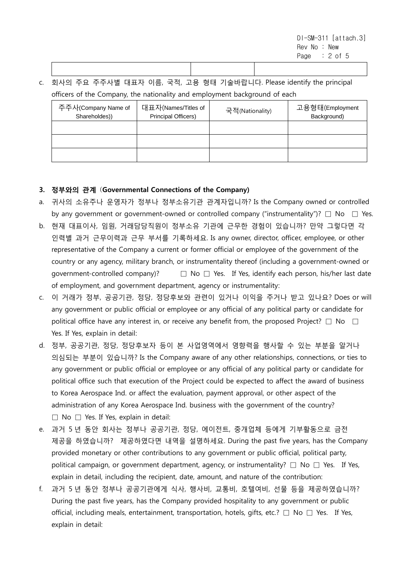DI-SM-311 [attach.3] Rev No : New Page : 2 of 5

c. 회사의 주요 주주사별 대표자 이름, 국적, 고용 형태 기술바랍니다. Please identify the principal officers of the Company, the nationality and employment background of each

| 주주사(Company Name of<br>Shareholdes)) | 대표자(Names/Titles of<br>Principal Officers) | 국적(Nationality) | 고용형태(Employment<br>Background) |
|--------------------------------------|--------------------------------------------|-----------------|--------------------------------|
|                                      |                                            |                 |                                |
|                                      |                                            |                 |                                |
|                                      |                                            |                 |                                |

# 3. 정부와의 관계 (Governmental Connections of the Company)

- a. 귀사의 소유주나 운영자가 정부나 정부소유기관 관계자입니까? Is the Company owned or controlled by any government or government-owned or controlled company ("instrumentality")?  $\Box$  No  $\Box$  Yes.
- b. 현재 대표이사, 임원, 거래담당직원이 정부소유 기관에 근무한 경험이 있습니까? 만약 그렇다면 각 인력별 과거 근무이력과 근무 부서를 기록하세요. Is any owner, director, officer, employee, or other representative of the Company a current or former official or employee of the government of the country or any agency, military branch, or instrumentality thereof (including a government-owned or government-controlled company)?  $\Box$  No  $\Box$  Yes. If Yes, identify each person, his/her last date of employment, and government department, agency or instrumentality:
- c. 이 거래가 정부, 공공기관, 정당, 정당후보와 관련이 있거나 이익을 주거나 받고 있나요? Does or will any government or public official or employee or any official of any political party or candidate for political office have any interest in, or receive any benefit from, the proposed Project?  $\Box$  No  $\Box$ Yes. If Yes, explain in detail:
- d. 정부, 공공기관, 정당, 정당후보자 등이 본 사업영역에서 영향력을 행사할 수 있는 부분을 알거나 의심되는 부분이 있습니까? Is the Company aware of any other relationships, connections, or ties to any government or public official or employee or any official of any political party or candidate for political office such that execution of the Project could be expected to affect the award of business to Korea Aerospace Ind. or affect the evaluation, payment approval, or other aspect of the administration of any Korea Aerospace Ind. business with the government of the country?  $\Box$  No  $\Box$  Yes. If Yes, explain in detail:
- e. 과거 5 년 동안 회사는 정부나 공공기관, 정당, 에이전트, 중개업체 등에게 기부활동으로 금전 제공을 하였습니까? 제공하였다면 내역을 설명하세요. During the past five years, has the Company provided monetary or other contributions to any government or public official, political party, political campaign, or government department, agency, or instrumentality?  $\square$  No  $\square$  Yes. If Yes, explain in detail, including the recipient, date, amount, and nature of the contribution:
- f. 과거 5 년 동안 정부나 공공기관에게 식사, 행사비, 교통비, 호텔여비, 선물 등을 제공하였습니까? During the past five years, has the Company provided hospitality to any government or public official, including meals, entertainment, transportation, hotels, gifts, etc.?  $\Box$  No  $\Box$  Yes. If Yes, explain in detail: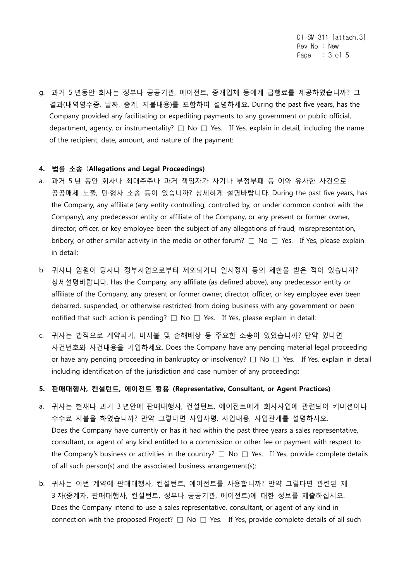DI-SM-311 [attach.3] Rev No : New Page : 3 of 5

g. 과거 5 년동안 회사는 정부나 공공기관, 에이전트, 중개업체 등에게 급행료를 제공하였습니까? 그 결과(내역영수증, 날짜, 총계, 지불내용)를 포함하여 설명하세요. During the past five years, has the Company provided any facilitating or expediting payments to any government or public official, department, agency, or instrumentality?  $\square$  No  $\square$  Yes. If Yes, explain in detail, including the name of the recipient, date, amount, and nature of the payment:

#### 4. 법률 소송 (Allegations and Legal Proceedings)

- a. 과거 5 년 동안 회사나 최대주주나 과거 책임자가 사기나 부정부패 등 이와 유사한 사건으로 공공매체 노출, 민·형사 소송 등이 있습니까? 상세하게 설명바랍니다. During the past five years, has the Company, any affiliate (any entity controlling, controlled by, or under common control with the Company), any predecessor entity or affiliate of the Company, or any present or former owner, director, officer, or key employee been the subject of any allegations of fraud, misrepresentation, bribery, or other similar activity in the media or other forum?  $\Box$  No  $\Box$  Yes. If Yes, please explain in detail:
- b. 귀사나 임원이 당사나 정부사업으로부터 제외되거나 일시정지 등의 제한을 받은 적이 있습니까? 상세설명바랍니다. Has the Company, any affiliate (as defined above), any predecessor entity or affiliate of the Company, any present or former owner, director, officer, or key employee ever been debarred, suspended, or otherwise restricted from doing business with any government or been notified that such action is pending?  $\Box$  No  $\Box$  Yes. If Yes, please explain in detail:
- c. 귀사는 법적으로 계약파기, 미지불 및 손해배상 등 주요한 소송이 있었습니까? 만약 있다면 사건번호와 사건내용을 기입하세요. Does the Company have any pending material legal proceeding or have any pending proceeding in bankruptcy or insolvency?  $\Box$  No  $\Box$  Yes. If Yes, explain in detail including identification of the jurisdiction and case number of any proceeding:

## 5. 판매대행사, 컨설턴트, 에이전트 활용 (Representative, Consultant, or Agent Practices)

- a. 귀사는 현재나 과거 3 년안에 판매대행사, 컨설턴트, 에이전트에게 회사사업에 관련되어 커미션이나 수수료 지불을 하였습니까? 만약 그렇다면 사업자명, 사업내용, 사업관계를 설명하시오. Does the Company have currently or has it had within the past three years a sales representative, consultant, or agent of any kind entitled to a commission or other fee or payment with respect to the Company's business or activities in the country?  $\Box$  No  $\Box$  Yes. If Yes, provide complete details of all such person(s) and the associated business arrangement(s):
- b. 귀사는 이번 계약에 판매대행사, 컨설턴트, 에이전트를 사용합니까? 만약 그렇다면 관련된 제 3 자(중계자, 판매대행사, 컨설턴트, 정부나 공공기관, 에이전트)에 대한 정보를 제출하십시오. Does the Company intend to use a sales representative, consultant, or agent of any kind in connection with the proposed Project?  $\Box$  No  $\Box$  Yes. If Yes, provide complete details of all such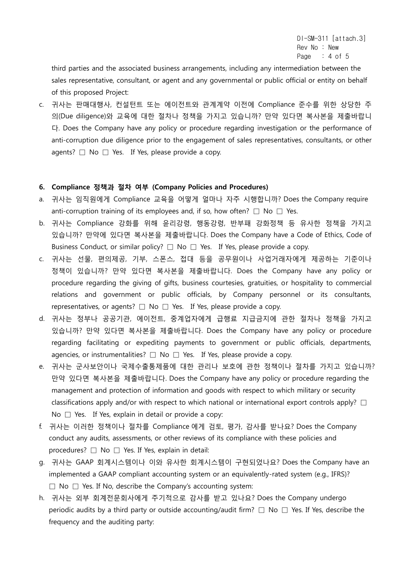DI-SM-311 [attach.3] Rev No : New Page  $: 4$  of 5

third parties and the associated business arrangements, including any intermediation between the sales representative, consultant, or agent and any governmental or public official or entity on behalf of this proposed Project:

c. 귀사는 판매대행사, 컨설턴트 또는 에이전트와 관계계약 이전에 Compliance 준수를 위한 상당한 주 의(Due diligence)와 교육에 대한 절차나 정책을 가지고 있습니까? 만약 있다면 복사본을 제출바랍니 다. Does the Company have any policy or procedure regarding investigation or the performance of anti-corruption due diligence prior to the engagement of sales representatives, consultants, or other agents?  $\Box$  No  $\Box$  Yes. If Yes, please provide a copy.

#### 6. Compliance 정책과 절차 여부 (Company Policies and Procedures)

- a. 귀사는 임직원에게 Compliance 교육을 어떻게 얼마나 자주 시행합니까? Does the Company require anti-corruption training of its employees and, if so, how often?  $\Box$  No  $\Box$  Yes.
- b. 귀사는 Compliance 강화를 위해 윤리강령, 행동강령, 반부패 강화정책 등 유사한 정책을 가지고 있습니까? 만약에 있다면 복사본을 제출바랍니다. Does the Company have a Code of Ethics, Code of Business Conduct, or similar policy?  $\Box$  No  $\Box$  Yes. If Yes, please provide a copy.
- c. 귀사는 선물, 편의제공, 기부, 스폰스, 접대 등을 공무원이나 사업거래자에게 제공하는 기준이나 정책이 있습니까? 만약 있다면 복사본을 제출바랍니다. Does the Company have any policy or procedure regarding the giving of gifts, business courtesies, gratuities, or hospitality to commercial relations and government or public officials, by Company personnel or its consultants, representatives, or agents?  $\Box$  No  $\Box$  Yes. If Yes, please provide a copy.
- d. 귀사는 정부나 공공기관, 에이전트, 중계업자에게 급행료 지급금지에 관한 절차나 정책을 가지고 있습니까? 만약 있다면 복사본을 제출바랍니다. Does the Company have any policy or procedure regarding facilitating or expediting payments to government or public officials, departments, agencies, or instrumentalities?  $\Box$  No  $\Box$  Yes. If Yes, please provide a copy.
- e. 귀사는 군사보안이나 국제수출통제품에 대한 관리나 보호에 관한 정책이나 절차를 가지고 있습니까? 만약 있다면 복사본을 제출바랍니다. Does the Company have any policy or procedure regarding the management and protection of information and goods with respect to which military or security classifications apply and/or with respect to which national or international export controls apply?  $\square$ No  $\Box$  Yes. If Yes, explain in detail or provide a copy:
- f. 귀사는 이러한 정책이나 절차를 Compliance 에게 검토, 평가, 감사를 받나요? Does the Company conduct any audits, assessments, or other reviews of its compliance with these policies and procedures? □ No □ Yes. If Yes, explain in detail:
- g. 귀사는 GAAP 회계시스템이나 이와 유사한 회계시스템이 구현되었나요? Does the Company have an implemented a GAAP compliant accounting system or an equivalently-rated system (e.g., IFRS)?  $\square$  No  $\square$  Yes. If No, describe the Company's accounting system:
- h. 귀사는 외부 회계전문회사에게 주기적으로 감사를 받고 있나요? Does the Company undergo periodic audits by a third party or outside accounting/audit firm?  $\Box$  No  $\Box$  Yes. If Yes, describe the frequency and the auditing party: